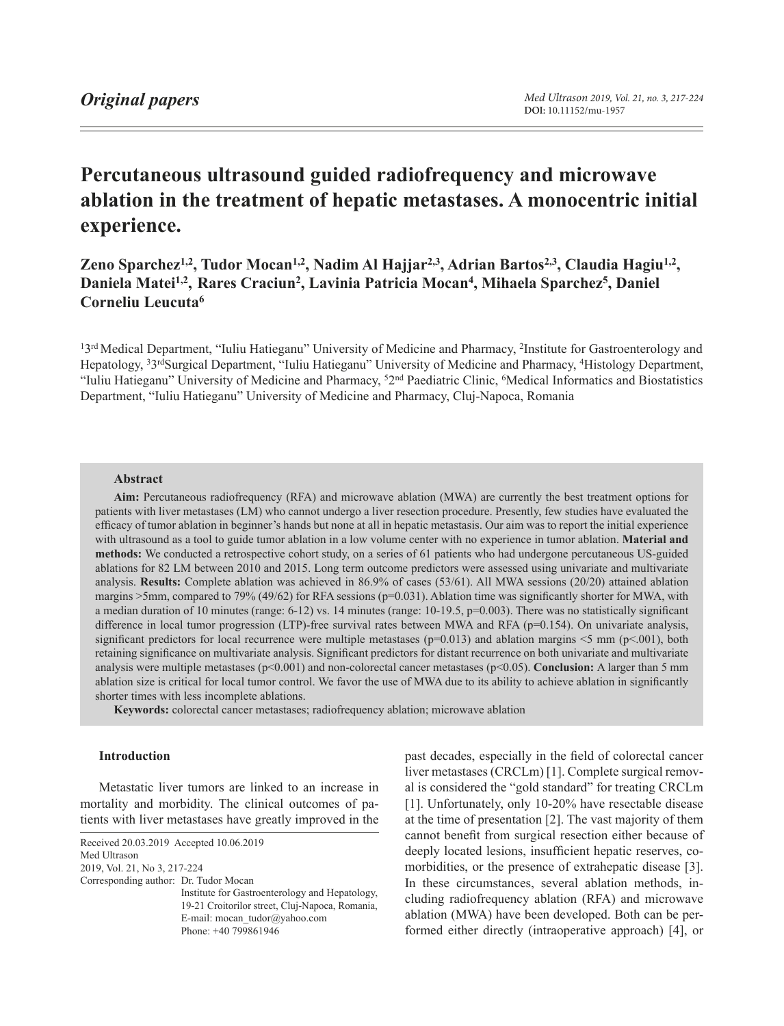# **Percutaneous ultrasound guided radiofrequency and microwave ablation in the treatment of hepatic metastases. A monocentric initial experience.**

**Zeno Sparchez1,2, Tudor Mocan1,2, Nadim Al Hajjar2,3, Adrian Bartos2,3, Claudia Hagiu1,2,**  Daniela Matei<sup>1,2</sup>, Rares Craciun<sup>2</sup>, Lavinia Patricia Mocan<sup>4</sup>, Mihaela Sparchez<sup>5</sup>, Daniel **Corneliu Leucuta6**

13<sup>rd</sup> Medical Department, "Iuliu Hatieganu" University of Medicine and Pharmacy, <sup>2</sup>Institute for Gastroenterology and Hepatology, 33rdSurgical Department, "Iuliu Hatieganu" University of Medicine and Pharmacy, 4Histology Department, "Iuliu Hatieganu" University of Medicine and Pharmacy, 52nd Paediatric Clinic, 6Medical Informatics and Biostatistics Department, "Iuliu Hatieganu" University of Medicine and Pharmacy, Cluj-Napoca, Romania

# **Abstract**

**Aim:** Percutaneous radiofrequency (RFA) and microwave ablation (MWA) are currently the best treatment options for patients with liver metastases (LM) who cannot undergo a liver resection procedure. Presently, few studies have evaluated the efficacy of tumor ablation in beginner's hands but none at all in hepatic metastasis. Our aim was to report the initial experience with ultrasound as a tool to guide tumor ablation in a low volume center with no experience in tumor ablation. **Material and methods:** We conducted a retrospective cohort study, on a series of 61 patients who had undergone percutaneous US-guided ablations for 82 LM between 2010 and 2015. Long term outcome predictors were assessed using univariate and multivariate analysis. **Results:** Complete ablation was achieved in 86.9% of cases (53/61). All MWA sessions (20/20) attained ablation margins  $>5$ mm, compared to 79% (49/62) for RFA sessions ( $p=0.031$ ). Ablation time was significantly shorter for MWA, with a median duration of 10 minutes (range: 6-12) vs. 14 minutes (range: 10-19.5, p=0.003). There was no statistically significant difference in local tumor progression (LTP)-free survival rates between MWA and RFA (p=0.154). On univariate analysis, significant predictors for local recurrence were multiple metastases ( $p=0.013$ ) and ablation margins <5 mm ( $p<0.01$ ), both retaining significance on multivariate analysis. Significant predictors for distant recurrence on both univariate and multivariate analysis were multiple metastases (p<0.001) and non-colorectal cancer metastases (p<0.05). **Conclusion:** A larger than 5 mm ablation size is critical for local tumor control. We favor the use of MWA due to its ability to achieve ablation in significantly shorter times with less incomplete ablations.

**Keywords:** colorectal cancer metastases; radiofrequency ablation; microwave ablation

# **Introduction**

Metastatic liver tumors are linked to an increase in mortality and morbidity. The clinical outcomes of patients with liver metastases have greatly improved in the

<span id="page-0-0"></span>Received 20.03.2019 Accepted 10.06.2019 Med Ultrason 2019, Vol. 21, No 3, [217-](#page-0-0)224 Corresponding author: Dr. Tudor Mocan

Institute for Gastroenterology and Hepatology, 19-21 Croitorilor street, Cluj-Napoca, Romania, E-mail: mocan\_tudor@yahoo.com Phone: +40 799861946

past decades, especially in the field of colorectal cancer liver metastases (CRCLm) [1]. Complete surgical removal is considered the "gold standard" for treating CRCLm [1]. Unfortunately, only 10-20% have resectable disease at the time of presentation [2]. The vast majority of them cannot benefit from surgical resection either because of deeply located lesions, insufficient hepatic reserves, comorbidities, or the presence of extrahepatic disease [3]. In these circumstances, several ablation methods, including radiofrequency ablation (RFA) and microwave ablation (MWA) have been developed. Both can be performed either directly (intraoperative approach) [4], or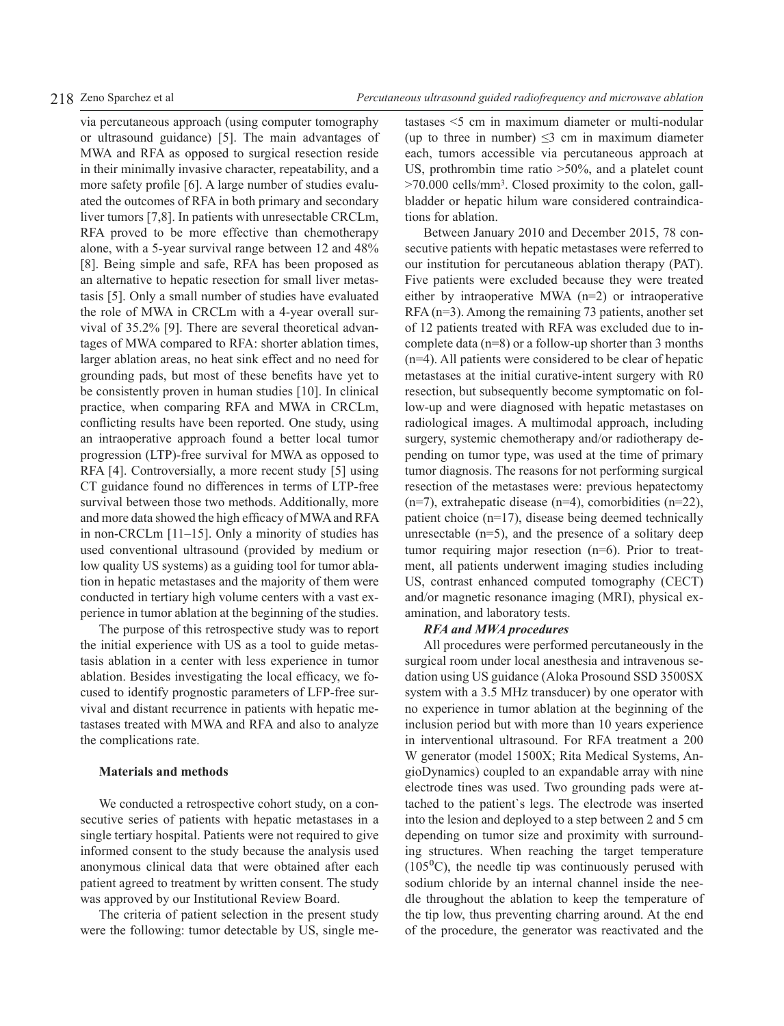via percutaneous approach (using computer tomography or ultrasound guidance) [5]. The main advantages of MWA and RFA as opposed to surgical resection reside in their minimally invasive character, repeatability, and a more safety profile [6]. A large number of studies evaluated the outcomes of RFA in both primary and secondary liver tumors [7,8]. In patients with unresectable CRCLm, RFA proved to be more effective than chemotherapy alone, with a 5-year survival range between 12 and 48% [8]. Being simple and safe, RFA has been proposed as an alternative to hepatic resection for small liver metastasis [5]. Only a small number of studies have evaluated the role of MWA in CRCLm with a 4-year overall survival of 35.2% [9]. There are several theoretical advantages of MWA compared to RFA: shorter ablation times, larger ablation areas, no heat sink effect and no need for grounding pads, but most of these benefits have yet to be consistently proven in human studies [10]. In clinical practice, when comparing RFA and MWA in CRCLm, conflicting results have been reported. One study, using an intraoperative approach found a better local tumor progression (LTP)-free survival for MWA as opposed to RFA [4]. Controversially, a more recent study [5] using CT guidance found no differences in terms of LTP-free survival between those two methods. Additionally, more and more data showed the high efficacy of MWA and RFA in non-CRCLm [11–15]. Only a minority of studies has used conventional ultrasound (provided by medium or low quality US systems) as a guiding tool for tumor ablation in hepatic metastases and the majority of them were conducted in tertiary high volume centers with a vast experience in tumor ablation at the beginning of the studies.

The purpose of this retrospective study was to report the initial experience with US as a tool to guide metastasis ablation in a center with less experience in tumor ablation. Besides investigating the local efficacy, we focused to identify prognostic parameters of LFP-free survival and distant recurrence in patients with hepatic metastases treated with MWA and RFA and also to analyze the complications rate.

# **Materials and methods**

We conducted a retrospective cohort study, on a consecutive series of patients with hepatic metastases in a single tertiary hospital. Patients were not required to give informed consent to the study because the analysis used anonymous clinical data that were obtained after each patient agreed to treatment by written consent. The study was approved by our Institutional Review Board.

The criteria of patient selection in the present study were the following: tumor detectable by US, single metastases <5 cm in maximum diameter or multi-nodular (up to three in number)  $\leq$ 3 cm in maximum diameter each, tumors accessible via percutaneous approach at US, prothrombin time ratio >50%, and a platelet count >70.000 cells/mm3. Closed proximity to the colon, gallbladder or hepatic hilum ware considered contraindications for ablation.

Between January 2010 and December 2015, 78 consecutive patients with hepatic metastases were referred to our institution for percutaneous ablation therapy (PAT). Five patients were excluded because they were treated either by intraoperative MWA (n=2) or intraoperative RFA (n=3). Among the remaining 73 patients, another set of 12 patients treated with RFA was excluded due to incomplete data (n=8) or a follow-up shorter than 3 months (n=4). All patients were considered to be clear of hepatic metastases at the initial curative-intent surgery with R0 resection, but subsequently become symptomatic on follow-up and were diagnosed with hepatic metastases on radiological images. A multimodal approach, including surgery, systemic chemotherapy and/or radiotherapy depending on tumor type, was used at the time of primary tumor diagnosis. The reasons for not performing surgical resection of the metastases were: previous hepatectomy  $(n=7)$ , extrahepatic disease  $(n=4)$ , comorbidities  $(n=22)$ , patient choice (n=17), disease being deemed technically unresectable (n=5), and the presence of a solitary deep tumor requiring major resection (n=6). Prior to treatment, all patients underwent imaging studies including US, contrast enhanced computed tomography (CECT) and/or magnetic resonance imaging (MRI), physical examination, and laboratory tests.

# *RFA and MWA procedures*

All procedures were performed percutaneously in the surgical room under local anesthesia and intravenous sedation using US guidance (Aloka Prosound SSD 3500SX system with a 3.5 MHz transducer) by one operator with no experience in tumor ablation at the beginning of the inclusion period but with more than 10 years experience in interventional ultrasound. For RFA treatment a 200 W generator (model 1500X; Rita Medical Systems, AngioDynamics) coupled to an expandable array with nine electrode tines was used. Two grounding pads were attached to the patient`s legs. The electrode was inserted into the lesion and deployed to a step between 2 and 5 cm depending on tumor size and proximity with surrounding structures. When reaching the target temperature  $(105\textsuperscript{0}C)$ , the needle tip was continuously perused with sodium chloride by an internal channel inside the needle throughout the ablation to keep the temperature of the tip low, thus preventing charring around. At the end of the procedure, the generator was reactivated and the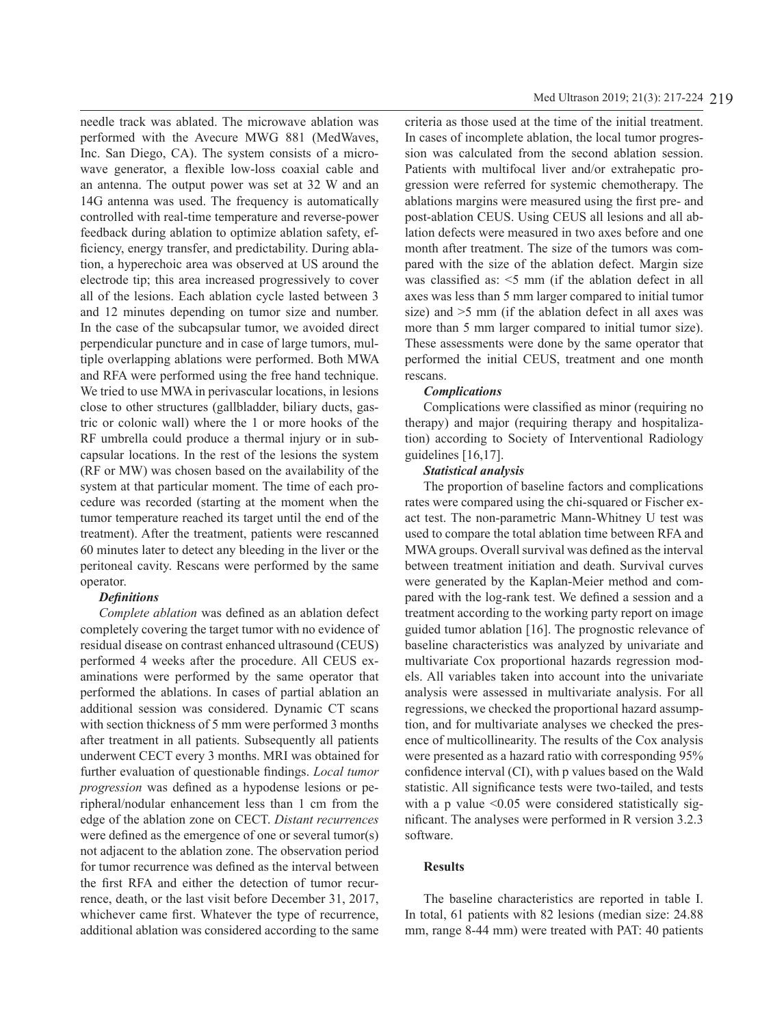needle track was ablated. The microwave ablation was performed with the Avecure MWG 881 (MedWaves, Inc. San Diego, CA). The system consists of a microwave generator, a flexible low-loss coaxial cable and an antenna. The output power was set at 32 W and an 14G antenna was used. The frequency is automatically controlled with real-time temperature and reverse-power feedback during ablation to optimize ablation safety, efficiency, energy transfer, and predictability. During ablation, a hyperechoic area was observed at US around the electrode tip; this area increased progressively to cover all of the lesions. Each ablation cycle lasted between 3 and 12 minutes depending on tumor size and number. In the case of the subcapsular tumor, we avoided direct perpendicular puncture and in case of large tumors, multiple overlapping ablations were performed. Both MWA and RFA were performed using the free hand technique. We tried to use MWA in perivascular locations, in lesions close to other structures (gallbladder, biliary ducts, gastric or colonic wall) where the 1 or more hooks of the RF umbrella could produce a thermal injury or in subcapsular locations. In the rest of the lesions the system (RF or MW) was chosen based on the availability of the system at that particular moment. The time of each procedure was recorded (starting at the moment when the tumor temperature reached its target until the end of the treatment). After the treatment, patients were rescanned 60 minutes later to detect any bleeding in the liver or the peritoneal cavity. Rescans were performed by the same operator.

# *Definitions*

*Complete ablation* was defined as an ablation defect completely covering the target tumor with no evidence of residual disease on contrast enhanced ultrasound (CEUS) performed 4 weeks after the procedure. All CEUS examinations were performed by the same operator that performed the ablations. In cases of partial ablation an additional session was considered. Dynamic CT scans with section thickness of 5 mm were performed 3 months after treatment in all patients. Subsequently all patients underwent CECT every 3 months. MRI was obtained for further evaluation of questionable findings. *Local tumor progression* was defined as a hypodense lesions or peripheral/nodular enhancement less than 1 cm from the edge of the ablation zone on CECT. *Distant recurrences* were defined as the emergence of one or several tumor(s) not adjacent to the ablation zone. The observation period for tumor recurrence was defined as the interval between the first RFA and either the detection of tumor recurrence, death, or the last visit before December 31, 2017, whichever came first. Whatever the type of recurrence, additional ablation was considered according to the same

criteria as those used at the time of the initial treatment. In cases of incomplete ablation, the local tumor progression was calculated from the second ablation session. Patients with multifocal liver and/or extrahepatic progression were referred for systemic chemotherapy. The ablations margins were measured using the first pre- and post-ablation CEUS. Using CEUS all lesions and all ablation defects were measured in two axes before and one month after treatment. The size of the tumors was compared with the size of the ablation defect. Margin size was classified as: <5 mm (if the ablation defect in all axes was less than 5 mm larger compared to initial tumor size) and >5 mm (if the ablation defect in all axes was more than 5 mm larger compared to initial tumor size). These assessments were done by the same operator that performed the initial CEUS, treatment and one month rescans.

# *Complications*

Complications were classified as minor (requiring no therapy) and major (requiring therapy and hospitalization) according to Society of Interventional Radiology guidelines [16,17].

# *Statistical analysis*

The proportion of baseline factors and complications rates were compared using the chi-squared or Fischer exact test. The non-parametric Mann-Whitney U test was used to compare the total ablation time between RFA and MWA groups. Overall survival was defined as the interval between treatment initiation and death. Survival curves were generated by the Kaplan-Meier method and compared with the log-rank test. We defined a session and a treatment according to the working party report on image guided tumor ablation [16]. The prognostic relevance of baseline characteristics was analyzed by univariate and multivariate Cox proportional hazards regression models. All variables taken into account into the univariate analysis were assessed in multivariate analysis. For all regressions, we checked the proportional hazard assumption, and for multivariate analyses we checked the presence of multicollinearity. The results of the Cox analysis were presented as a hazard ratio with corresponding 95% confidence interval (CI), with p values based on the Wald statistic. All significance tests were two-tailed, and tests with a p value  $\leq 0.05$  were considered statistically significant. The analyses were performed in R version 3.2.3 software.

# **Results**

The baseline characteristics are reported in table I. In total, 61 patients with 82 lesions (median size: 24.88 mm, range 8-44 mm) were treated with PAT: 40 patients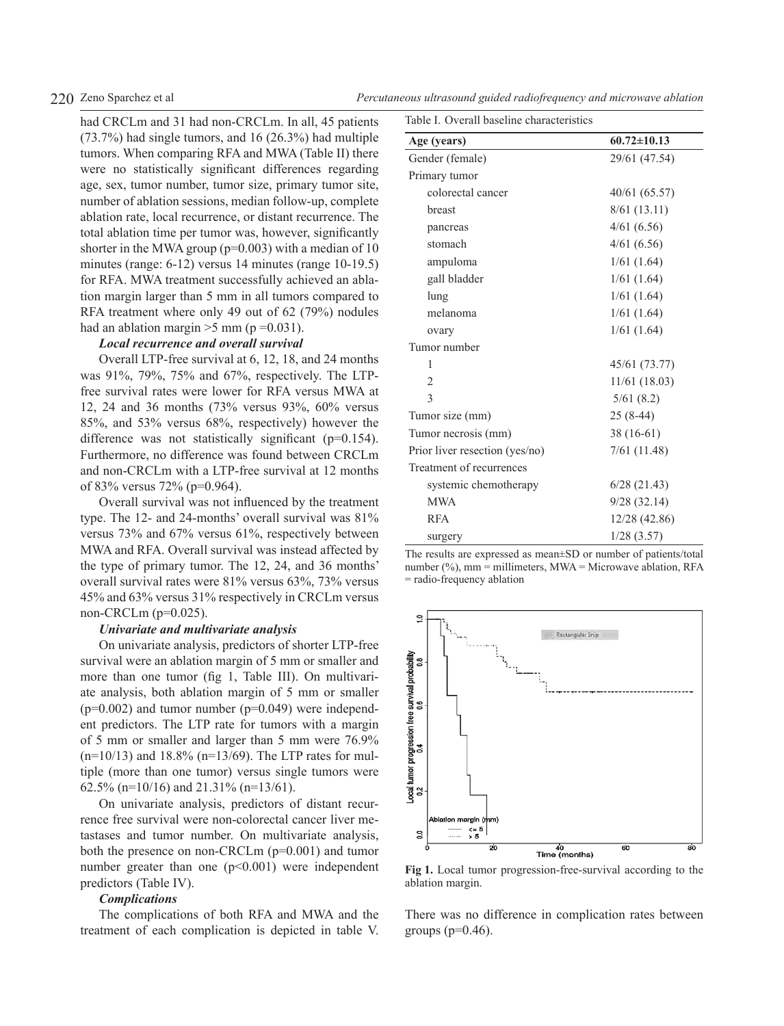had CRCLm and 31 had non-CRCLm. In all, 45 patients (73.7%) had single tumors, and 16 (26.3%) had multiple tumors. When comparing RFA and MWA (Table II) there were no statistically significant differences regarding age, sex, tumor number, tumor size, primary tumor site, number of ablation sessions, median follow-up, complete ablation rate, local recurrence, or distant recurrence. The total ablation time per tumor was, however, significantly shorter in the MWA group ( $p=0.003$ ) with a median of 10 minutes (range: 6-12) versus 14 minutes (range 10-19.5) for RFA. MWA treatment successfully achieved an ablation margin larger than 5 mm in all tumors compared to RFA treatment where only 49 out of 62 (79%) nodules had an ablation margin  $>5$  mm (p = 0.031).

# *Local recurrence and overall survival*

Overall LTP-free survival at 6, 12, 18, and 24 months was 91%, 79%, 75% and 67%, respectively. The LTPfree survival rates were lower for RFA versus MWA at 12, 24 and 36 months (73% versus 93%, 60% versus 85%, and 53% versus 68%, respectively) however the difference was not statistically significant (p=0.154). Furthermore, no difference was found between CRCLm and non-CRCLm with a LTP-free survival at 12 months of 83% versus 72% (p=0.964).

Overall survival was not influenced by the treatment type. The 12- and 24-months' overall survival was 81% versus 73% and 67% versus 61%, respectively between MWA and RFA. Overall survival was instead affected by the type of primary tumor. The 12, 24, and 36 months' overall survival rates were 81% versus 63%, 73% versus 45% and 63% versus 31% respectively in CRCLm versus non-CRCLm (p=0.025).

## *Univariate and multivariate analysis*

On univariate analysis, predictors of shorter LTP-free survival were an ablation margin of 5 mm or smaller and more than one tumor (fig 1, Table III). On multivariate analysis, both ablation margin of 5 mm or smaller  $(p=0.002)$  and tumor number  $(p=0.049)$  were independent predictors. The LTP rate for tumors with a margin of 5 mm or smaller and larger than 5 mm were 76.9%  $(n=10/13)$  and 18.8%  $(n=13/69)$ . The LTP rates for multiple (more than one tumor) versus single tumors were 62.5% (n=10/16) and 21.31% (n=13/61).

On univariate analysis, predictors of distant recurrence free survival were non-colorectal cancer liver metastases and tumor number. On multivariate analysis, both the presence on non-CRCLm (p=0.001) and tumor number greater than one  $(p<0.001)$  were independent predictors (Table IV).

### *Complications*

The complications of both RFA and MWA and the treatment of each complication is depicted in table V.

| Table I. Overall baseline characteristics |                   |  |  |  |  |
|-------------------------------------------|-------------------|--|--|--|--|
| Age (years)                               | $60.72 \pm 10.13$ |  |  |  |  |
| Gender (female)                           | 29/61 (47.54)     |  |  |  |  |
| Primary tumor                             |                   |  |  |  |  |
| colorectal cancer                         | 40/61 (65.57)     |  |  |  |  |
| breast                                    | 8/61(13.11)       |  |  |  |  |
| pancreas                                  | 4/61(6.56)        |  |  |  |  |
| stomach                                   | 4/61(6.56)        |  |  |  |  |
| ampuloma                                  | 1/61(1.64)        |  |  |  |  |
| gall bladder                              | 1/61(1.64)        |  |  |  |  |
| lung                                      | 1/61(1.64)        |  |  |  |  |
| melanoma                                  | 1/61(1.64)        |  |  |  |  |
| ovary                                     | 1/61(1.64)        |  |  |  |  |
| Tumor number                              |                   |  |  |  |  |
| 1                                         | 45/61 (73.77)     |  |  |  |  |
| 2                                         | $11/61$ (18.03)   |  |  |  |  |
| 3                                         | 5/61(8.2)         |  |  |  |  |
| Tumor size (mm)                           | $25(8-44)$        |  |  |  |  |
| Tumor necrosis (mm)                       | $38(16-61)$       |  |  |  |  |
| Prior liver resection (yes/no)            | 7/61(11.48)       |  |  |  |  |
| Treatment of recurrences                  |                   |  |  |  |  |
| systemic chemotherapy                     | 6/28(21.43)       |  |  |  |  |
| <b>MWA</b>                                | 9/28(32.14)       |  |  |  |  |
| <b>RFA</b>                                | 12/28 (42.86)     |  |  |  |  |
| surgery                                   | 1/28(3.57)        |  |  |  |  |

The results are expressed as mean±SD or number of patients/total number  $\frac{6}{6}$ , mm = millimeters, MWA = Microwave ablation, RFA = radio-frequency ablation



**Fig 1.** Local tumor progression-free-survival according to the ablation margin.

There was no difference in complication rates between groups  $(p=0.46)$ .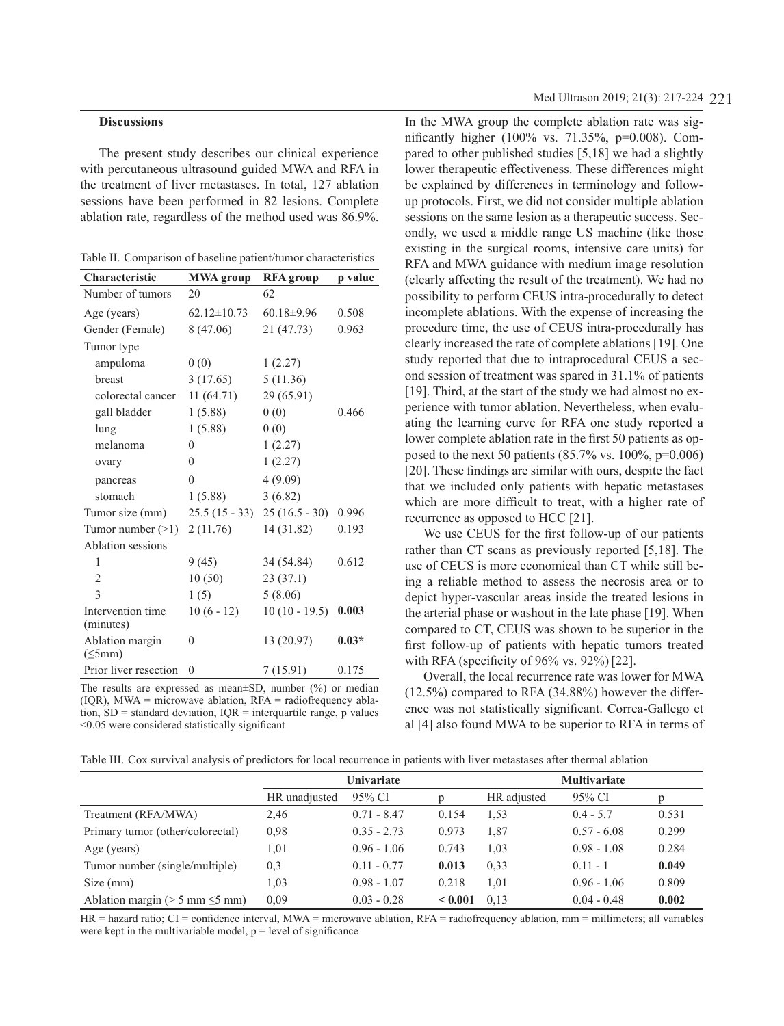### **Discussions**

The present study describes our clinical experience with percutaneous ultrasound guided MWA and RFA in the treatment of liver metastases. In total, 127 ablation sessions have been performed in 82 lesions. Complete ablation rate, regardless of the method used was 86.9%.

|  |  |  |  |  |  | Table II. Comparison of baseline patient/tumor characteristics |
|--|--|--|--|--|--|----------------------------------------------------------------|
|--|--|--|--|--|--|----------------------------------------------------------------|

| Characteristic                   | <b>MWA</b> group  | <b>RFA</b> group | p value |
|----------------------------------|-------------------|------------------|---------|
| Number of tumors                 | 20                | 62               |         |
| Age (years)                      | $62.12 \pm 10.73$ | $60.18 \pm 9.96$ | 0.508   |
| Gender (Female)                  | 8(47.06)          | 21(47.73)        | 0.963   |
| Tumor type                       |                   |                  |         |
| ampuloma                         | 0(0)              | 1(2.27)          |         |
| breast                           | 3(17.65)          | 5(11.36)         |         |
| colorectal cancer                | 11(64.71)         | 29 (65.91)       |         |
| gall bladder                     | 1(5.88)           | 0(0)             | 0.466   |
| lung                             | 1(5.88)           | 0(0)             |         |
| melanoma                         | $\mathbf{0}$      | 1(2.27)          |         |
| ovary                            | $\theta$          | 1(2.27)          |         |
| pancreas                         | $\theta$          | 4(9.09)          |         |
| stomach                          | 1(5.88)           | 3(6.82)          |         |
| Tumor size (mm)                  | $25.5(15-33)$     | $25(16.5-30)$    | 0.996   |
| Tumor number $(>1)$              | 2(11.76)          | 14 (31.82)       | 0.193   |
| Ablation sessions                |                   |                  |         |
| 1                                | 9(45)             | 34 (54.84)       | 0.612   |
| $\overline{2}$                   | 10(50)            | 23(37.1)         |         |
| $\mathcal{E}$                    | 1(5)              | 5(8.06)          |         |
| Intervention time<br>(minutes)   | $10(6 - 12)$      | $10(10 - 19.5)$  | 0.003   |
| Ablation margin<br>$(\leq 5$ mm) | $\theta$          | 13 (20.97)       | $0.03*$ |
| Prior liver resection            | $\theta$          | 7(15.91)         | 0.175   |

The results are expressed as mean±SD, number (%) or median  $(IOR)$ , MWA = microwave ablation, RFA = radiofrequency ablation,  $SD =$  standard deviation,  $IQR =$  interquartile range, p values <0.05 were considered statistically significant

In the MWA group the complete ablation rate was significantly higher (100% vs. 71.35%, p=0.008). Compared to other published studies [5,18] we had a slightly lower therapeutic effectiveness. These differences might be explained by differences in terminology and followup protocols. First, we did not consider multiple ablation sessions on the same lesion as a therapeutic success. Secondly, we used a middle range US machine (like those existing in the surgical rooms, intensive care units) for RFA and MWA guidance with medium image resolution (clearly affecting the result of the treatment). We had no possibility to perform CEUS intra-procedurally to detect incomplete ablations. With the expense of increasing the procedure time, the use of CEUS intra-procedurally has clearly increased the rate of complete ablations [19]. One study reported that due to intraprocedural CEUS a second session of treatment was spared in 31.1% of patients [19]. Third, at the start of the study we had almost no experience with tumor ablation. Nevertheless, when evaluating the learning curve for RFA one study reported a lower complete ablation rate in the first 50 patients as opposed to the next 50 patients  $(85.7\% \text{ vs. } 100\%, \text{ p=0.006})$ [20]. These findings are similar with ours, despite the fact that we included only patients with hepatic metastases which are more difficult to treat, with a higher rate of recurrence as opposed to HCC [21].

We use CEUS for the first follow-up of our patients rather than CT scans as previously reported [5,18]. The use of CEUS is more economical than CT while still being a reliable method to assess the necrosis area or to depict hyper-vascular areas inside the treated lesions in the arterial phase or washout in the late phase [19]. When compared to CT, CEUS was shown to be superior in the first follow-up of patients with hepatic tumors treated with RFA (specificity of 96% vs. 92%)[22].

Overall, the local recurrence rate was lower for MWA (12.5%) compared to RFA (34.88%) however the difference was not statistically significant. Correa-Gallego et al [4] also found MWA to be superior to RFA in terms of

Table III. Cox survival analysis of predictors for local recurrence in patients with liver metastases after thermal ablation

|                                         | Univariate    |               |                | <b>Multivariate</b> |               |       |  |
|-----------------------------------------|---------------|---------------|----------------|---------------------|---------------|-------|--|
|                                         | HR unadjusted | 95% CI        |                | HR adjusted         | 95% CI        | p     |  |
| Treatment (RFA/MWA)                     | 2,46          | $0.71 - 8.47$ | 0.154          | 1,53                | $0.4 - 5.7$   | 0.531 |  |
| Primary tumor (other/colorectal)        | 0.98          | $0.35 - 2.73$ | 0.973          | 1,87                | $0.57 - 6.08$ | 0.299 |  |
| Age (years)                             | 1,01          | $0.96 - 1.06$ | 0.743          | 1,03                | $0.98 - 1.08$ | 0.284 |  |
| Tumor number (single/multiple)          | 0,3           | $0.11 - 0.77$ | 0.013          | 0.33                | $0.11 - 1$    | 0.049 |  |
| Size (mm)                               | 1,03          | $0.98 - 1.07$ | 0.218          | 1,01                | $0.96 - 1.06$ | 0.809 |  |
| Ablation margin ( $> 5$ mm $\leq 5$ mm) | 0.09          | $0.03 - 0.28$ | ${}_{< 0.001}$ | 0.13                | $0.04 - 0.48$ | 0.002 |  |

HR = hazard ratio; CI = confidence interval, MWA = microwave ablation, RFA = radiofrequency ablation, mm = millimeters; all variables were kept in the multivariable model,  $p = level$  of significance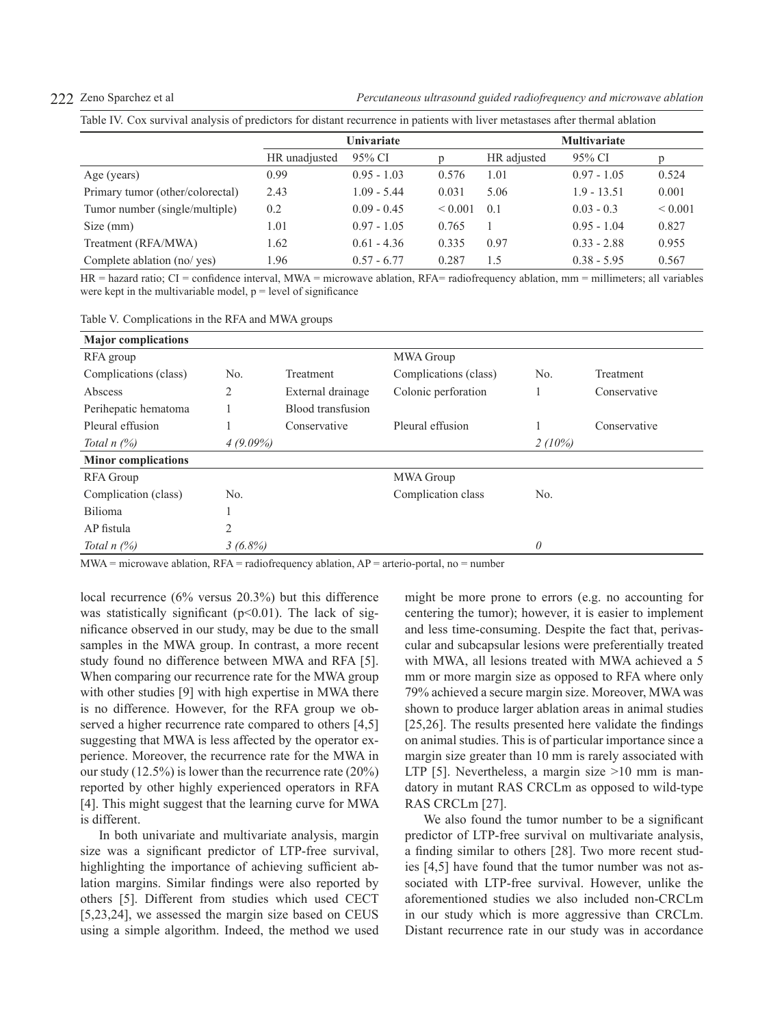222 Zeno Sparchez et al *Percutaneous ultrasound guided radiofrequency and microwave ablation*

Table IV. Cox survival analysis of predictors for distant recurrence in patients with liver metastases after thermal ablation

|                                  | Univariate    |               |              | <b>Multivariate</b> |               |              |
|----------------------------------|---------------|---------------|--------------|---------------------|---------------|--------------|
|                                  | HR unadjusted | 95% CI        |              | HR adjusted         | 95% CI        | D            |
| Age (years)                      | 0.99          | $0.95 - 1.03$ | 0.576        | 1.01                | $0.97 - 1.05$ | 0.524        |
| Primary tumor (other/colorectal) | 2.43          | $1.09 - 5.44$ | 0.031        | 5.06                | $1.9 - 13.51$ | 0.001        |
| Tumor number (single/multiple)   | 0.2           | $0.09 - 0.45$ | ${}_{0.001}$ | 0.1                 | $0.03 - 0.3$  | ${}_{0.001}$ |
| Size (mm)                        | 1.01          | $0.97 - 1.05$ | 0.765        |                     | $0.95 - 1.04$ | 0.827        |
| Treatment (RFA/MWA)              | 1.62          | $0.61 - 4.36$ | 0.335        | 0.97                | $0.33 - 2.88$ | 0.955        |
| Complete ablation (no/ yes)      | 1.96          | $0.57 - 6.77$ | 0.287        | 1.5                 | $0.38 - 5.95$ | 0.567        |

HR = hazard ratio; CI = confidence interval, MWA = microwave ablation, RFA= radiofrequency ablation, mm = millimeters; all variables were kept in the multivariable model,  $p = level$  of significance

Table V. Complications in the RFA and MWA groups

| <b>Major</b> complications |             |                          |                       |          |              |
|----------------------------|-------------|--------------------------|-----------------------|----------|--------------|
| RFA group                  |             |                          | MWA Group             |          |              |
| Complications (class)      | No.         | Treatment                | Complications (class) | No.      | Treatment    |
| Abscess                    | 2           | External drainage        | Colonic perforation   |          | Conservative |
| Perihepatic hematoma       |             | <b>Blood transfusion</b> |                       |          |              |
| Pleural effusion           |             | Conservative             | Pleural effusion      |          | Conservative |
| Total $n$ $(\%)$           | $4(9.09\%)$ |                          |                       | 2(10%)   |              |
| <b>Minor complications</b> |             |                          |                       |          |              |
| <b>RFA</b> Group           |             |                          | <b>MWA Group</b>      |          |              |
| Complication (class)       | No.         |                          | Complication class    | No.      |              |
| Bilioma                    |             |                          |                       |          |              |
| AP fistula                 | 2           |                          |                       |          |              |
| Total $n$ $(\%)$           | $3(6.8\%)$  |                          |                       | $\theta$ |              |

MWA = microwave ablation,  $RFA$  = radiofrequency ablation,  $AP$  = arterio-portal, no = number

local recurrence (6% versus 20.3%) but this difference was statistically significant  $(p<0.01)$ . The lack of significance observed in our study, may be due to the small samples in the MWA group. In contrast, a more recent study found no difference between MWA and RFA [5]. When comparing our recurrence rate for the MWA group with other studies [9] with high expertise in MWA there is no difference. However, for the RFA group we observed a higher recurrence rate compared to others [4,5] suggesting that MWA is less affected by the operator experience. Moreover, the recurrence rate for the MWA in our study (12.5%) is lower than the recurrence rate (20%) reported by other highly experienced operators in RFA [4]. This might suggest that the learning curve for MWA is different.

In both univariate and multivariate analysis, margin size was a significant predictor of LTP-free survival, highlighting the importance of achieving sufficient ablation margins. Similar findings were also reported by others [5]. Different from studies which used CECT [5,23,24], we assessed the margin size based on CEUS using a simple algorithm. Indeed, the method we used might be more prone to errors (e.g. no accounting for centering the tumor); however, it is easier to implement and less time-consuming. Despite the fact that, perivascular and subcapsular lesions were preferentially treated with MWA, all lesions treated with MWA achieved a 5 mm or more margin size as opposed to RFA where only 79% achieved a secure margin size. Moreover, MWA was shown to produce larger ablation areas in animal studies [25,26]. The results presented here validate the findings on animal studies. This is of particular importance since a margin size greater than 10 mm is rarely associated with LTP [5]. Nevertheless, a margin size  $>10$  mm is mandatory in mutant RAS CRCLm as opposed to wild-type RAS CRCLm [27].

We also found the tumor number to be a significant predictor of LTP-free survival on multivariate analysis, a finding similar to others [28]. Two more recent studies [4,5] have found that the tumor number was not associated with LTP-free survival. However, unlike the aforementioned studies we also included non-CRCLm in our study which is more aggressive than CRCLm. Distant recurrence rate in our study was in accordance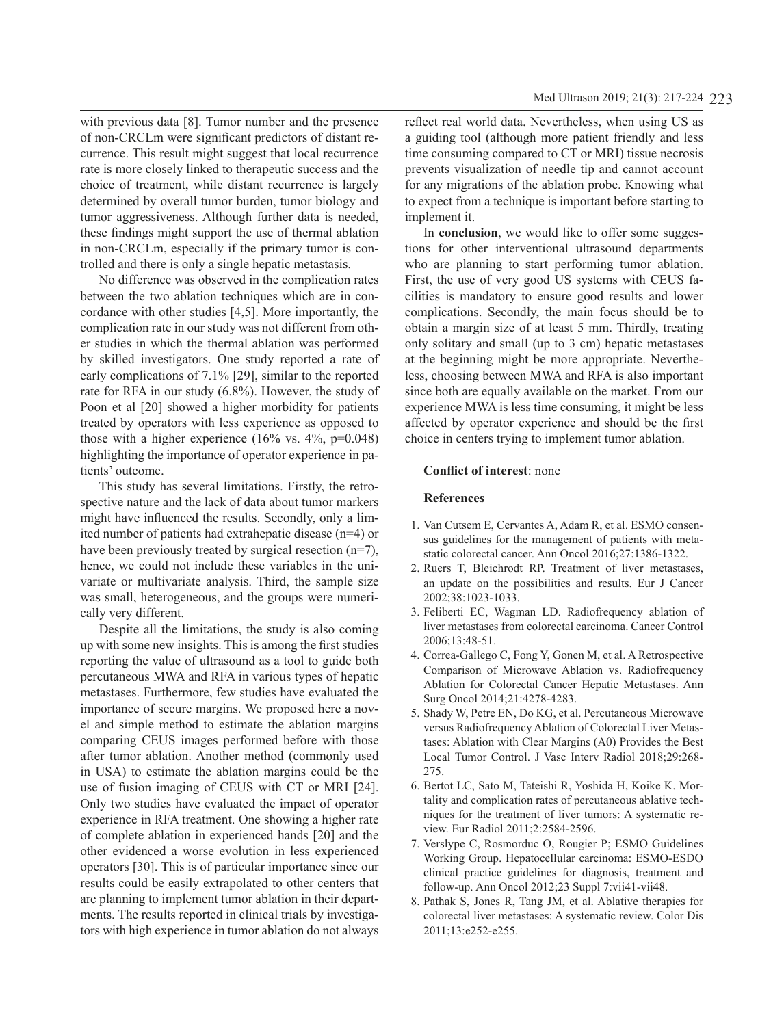with previous data [8]. Tumor number and the presence of non-CRCLm were significant predictors of distant recurrence. This result might suggest that local recurrence rate is more closely linked to therapeutic success and the choice of treatment, while distant recurrence is largely determined by overall tumor burden, tumor biology and tumor aggressiveness. Although further data is needed, these findings might support the use of thermal ablation in non-CRCLm, especially if the primary tumor is controlled and there is only a single hepatic metastasis.

No difference was observed in the complication rates between the two ablation techniques which are in concordance with other studies [4,5]. More importantly, the complication rate in our study was not different from other studies in which the thermal ablation was performed by skilled investigators. One study reported a rate of early complications of 7.1% [29], similar to the reported rate for RFA in our study (6.8%). However, the study of Poon et al [20] showed a higher morbidity for patients treated by operators with less experience as opposed to those with a higher experience  $(16\%$  vs.  $4\%$ , p=0.048) highlighting the importance of operator experience in patients' outcome.

This study has several limitations. Firstly, the retrospective nature and the lack of data about tumor markers might have influenced the results. Secondly, only a limited number of patients had extrahepatic disease (n=4) or have been previously treated by surgical resection (n=7), hence, we could not include these variables in the univariate or multivariate analysis. Third, the sample size was small, heterogeneous, and the groups were numerically very different.

Despite all the limitations, the study is also coming up with some new insights. This is among the first studies reporting the value of ultrasound as a tool to guide both percutaneous MWA and RFA in various types of hepatic metastases. Furthermore, few studies have evaluated the importance of secure margins. We proposed here a novel and simple method to estimate the ablation margins comparing CEUS images performed before with those after tumor ablation. Another method (commonly used in USA) to estimate the ablation margins could be the use of fusion imaging of CEUS with CT or MRI [24]. Only two studies have evaluated the impact of operator experience in RFA treatment. One showing a higher rate of complete ablation in experienced hands [20] and the other evidenced a worse evolution in less experienced operators [30]. This is of particular importance since our results could be easily extrapolated to other centers that are planning to implement tumor ablation in their departments. The results reported in clinical trials by investigators with high experience in tumor ablation do not always

reflect real world data. Nevertheless, when using US as a guiding tool (although more patient friendly and less time consuming compared to CT or MRI) tissue necrosis prevents visualization of needle tip and cannot account for any migrations of the ablation probe. Knowing what to expect from a technique is important before starting to implement it.

In **conclusion**, we would like to offer some suggestions for other interventional ultrasound departments who are planning to start performing tumor ablation. First, the use of very good US systems with CEUS facilities is mandatory to ensure good results and lower complications. Secondly, the main focus should be to obtain a margin size of at least 5 mm. Thirdly, treating only solitary and small (up to 3 cm) hepatic metastases at the beginning might be more appropriate. Nevertheless, choosing between MWA and RFA is also important since both are equally available on the market. From our experience MWA is less time consuming, it might be less affected by operator experience and should be the first choice in centers trying to implement tumor ablation.

# **Conflict of interest**: none

# **References**

- 1. Van Cutsem E, Cervantes A, Adam R, et al. ESMO consensus guidelines for the management of patients with metastatic colorectal cancer. Ann Oncol 2016;27:1386-1322.
- 2. Ruers T, Bleichrodt RP. Treatment of liver metastases, an update on the possibilities and results. Eur J Cancer 2002;38:1023-1033.
- 3. Feliberti EC, Wagman LD. Radiofrequency ablation of liver metastases from colorectal carcinoma. Cancer Control 2006;13:48-51.
- 4. Correa-Gallego C, Fong Y, Gonen M, et al. A Retrospective Comparison of Microwave Ablation vs. Radiofrequency Ablation for Colorectal Cancer Hepatic Metastases. Ann Surg Oncol 2014;21:4278-4283.
- 5. Shady W, Petre EN, Do KG, et al. Percutaneous Microwave versus Radiofrequency Ablation of Colorectal Liver Metastases: Ablation with Clear Margins (A0) Provides the Best Local Tumor Control. J Vasc Interv Radiol 2018;29:268- 275.
- 6. Bertot LC, Sato M, Tateishi R, Yoshida H, Koike K. Mortality and complication rates of percutaneous ablative techniques for the treatment of liver tumors: A systematic review. Eur Radiol 2011;2:2584-2596.
- 7. Verslype C, Rosmorduc O, Rougier P; ESMO Guidelines Working Group. Hepatocellular carcinoma: ESMO-ESDO clinical practice guidelines for diagnosis, treatment and follow-up. Ann Oncol 2012;23 Suppl 7:vii41-vii48.
- 8. Pathak S, Jones R, Tang JM, et al. Ablative therapies for colorectal liver metastases: A systematic review. Color Dis 2011;13:e252-e255.